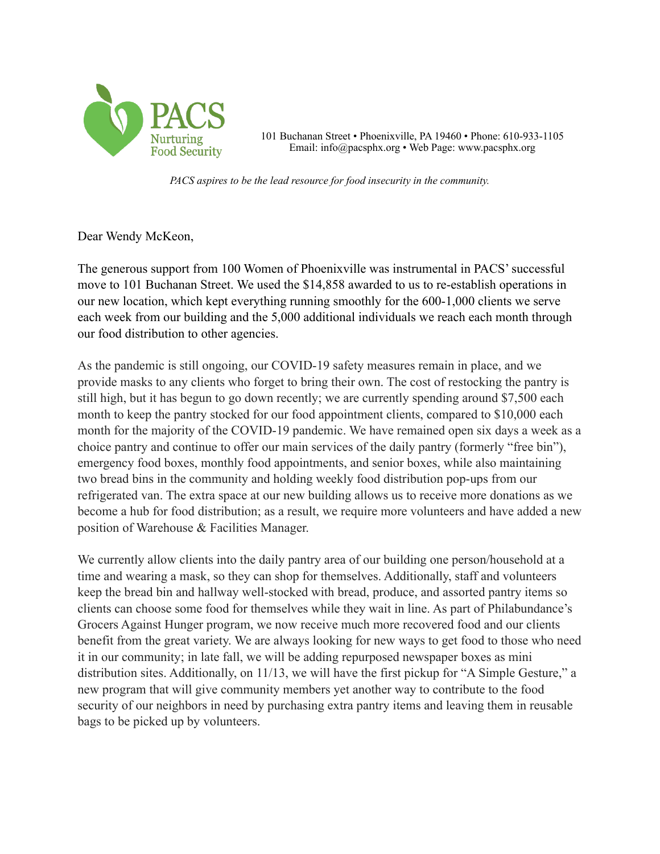

101 Buchanan Street • Phoenixville, PA 19460 • Phone: 610-933-1105 Email: info@pacsphx.org • Web Page: www.pacsphx.org

*PACS aspires to be the lead resource for food insecurity in the community.*

Dear Wendy McKeon,

The generous support from 100 Women of Phoenixville was instrumental in PACS' successful move to 101 Buchanan Street. We used the \$14,858 awarded to us to re-establish operations in our new location, which kept everything running smoothly for the 600-1,000 clients we serve each week from our building and the 5,000 additional individuals we reach each month through our food distribution to other agencies.

As the pandemic is still ongoing, our COVID-19 safety measures remain in place, and we provide masks to any clients who forget to bring their own. The cost of restocking the pantry is still high, but it has begun to go down recently; we are currently spending around \$7,500 each month to keep the pantry stocked for our food appointment clients, compared to \$10,000 each month for the majority of the COVID-19 pandemic. We have remained open six days a week as a choice pantry and continue to offer our main services of the daily pantry (formerly "free bin"), emergency food boxes, monthly food appointments, and senior boxes, while also maintaining two bread bins in the community and holding weekly food distribution pop-ups from our refrigerated van. The extra space at our new building allows us to receive more donations as we become a hub for food distribution; as a result, we require more volunteers and have added a new position of Warehouse & Facilities Manager.

We currently allow clients into the daily pantry area of our building one person/household at a time and wearing a mask, so they can shop for themselves. Additionally, staff and volunteers keep the bread bin and hallway well-stocked with bread, produce, and assorted pantry items so clients can choose some food for themselves while they wait in line. As part of Philabundance's Grocers Against Hunger program, we now receive much more recovered food and our clients benefit from the great variety. We are always looking for new ways to get food to those who need it in our community; in late fall, we will be adding repurposed newspaper boxes as mini distribution sites. Additionally, on 11/13, we will have the first pickup for "A Simple Gesture," a new program that will give community members yet another way to contribute to the food security of our neighbors in need by purchasing extra pantry items and leaving them in reusable bags to be picked up by volunteers.